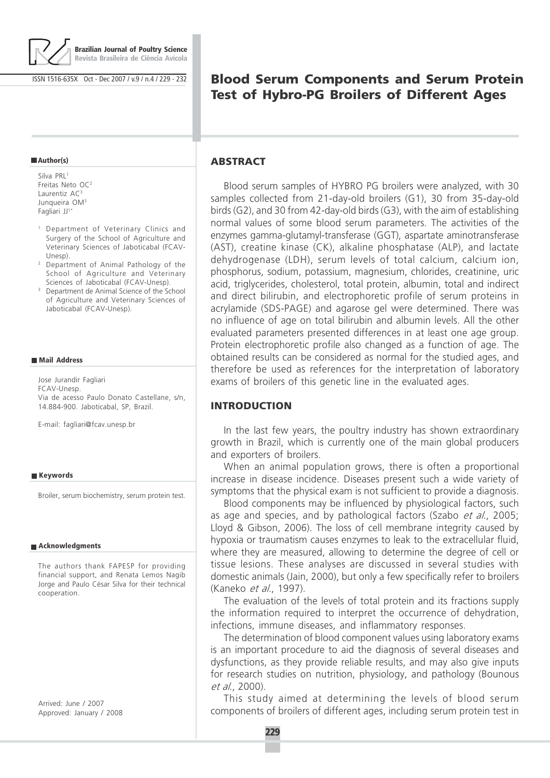

**Brazilian Journal of Poultry Science Revista Brasileira de Ciência Avícola**

ISSN 1516-635X Oct - Dec 2007 / v.9 / n.4 / 229 - 232

# **Blood Serum Components and Serum Protein Test of Hybro-PG Broilers of Different Ages**

### **Author(s)**

Silva PRL<sup>1</sup> Freitas Neto OC<sup>2</sup> Laurentiz AC<sup>3</sup> Junqueira OM<sup>3</sup> Fagliari JJ<sup>1\*</sup>

- <sup>1</sup> Department of Veterinary Clinics and Surgery of the School of Agriculture and Veterinary Sciences of Jaboticabal (FCAV-Unesp).
- <sup>2</sup> Department of Animal Pathology of the School of Agriculture and Veterinary Sciences of Jaboticabal (FCAV-Unesp).
- <sup>3</sup> Department de Animal Science of the School of Agriculture and Veterinary Sciences of Jaboticabal (FCAV-Unesp).

### **Mail Address**

Jose Jurandir Fagliari FCAV-Unesp. Via de acesso Paulo Donato Castellane, s/n, 14.884-900. Jaboticabal, SP, Brazil.

E-mail: fagliari@fcav.unesp.br

#### **Keywords**

Broiler, serum biochemistry, serum protein test.

#### **Acknowledgments**

The authors thank FAPESP for providing financial support, and Renata Lemos Nagib Jorge and Paulo César Silva for their technical cooperation.

Arrived: June / 2007 Approved: January / 2008

### **ABSTRACT**

Blood serum samples of HYBRO PG broilers were analyzed, with 30 samples collected from 21-day-old broilers (G1), 30 from 35-day-old birds (G2), and 30 from 42-day-old birds (G3), with the aim of establishing normal values of some blood serum parameters. The activities of the enzymes gamma-glutamyl-transferase (GGT), aspartate aminotransferase (AST), creatine kinase (CK), alkaline phosphatase (ALP), and lactate dehydrogenase (LDH), serum levels of total calcium, calcium ion, phosphorus, sodium, potassium, magnesium, chlorides, creatinine, uric acid, triglycerides, cholesterol, total protein, albumin, total and indirect and direct bilirubin, and electrophoretic profile of serum proteins in acrylamide (SDS-PAGE) and agarose gel were determined. There was no influence of age on total bilirubin and albumin levels. All the other evaluated parameters presented differences in at least one age group. Protein electrophoretic profile also changed as a function of age. The obtained results can be considered as normal for the studied ages, and therefore be used as references for the interpretation of laboratory exams of broilers of this genetic line in the evaluated ages.

### **INTRODUCTION**

In the last few years, the poultry industry has shown extraordinary growth in Brazil, which is currently one of the main global producers and exporters of broilers.

When an animal population grows, there is often a proportional increase in disease incidence. Diseases present such a wide variety of symptoms that the physical exam is not sufficient to provide a diagnosis.

Blood components may be influenced by physiological factors, such as age and species, and by pathological factors (Szabo *et al.*, 2005; Lloyd & Gibson, 2006). The loss of cell membrane integrity caused by hypoxia or traumatism causes enzymes to leak to the extracellular fluid, where they are measured, allowing to determine the degree of cell or tissue lesions. These analyses are discussed in several studies with domestic animals (Jain, 2000), but only a few specifically refer to broilers (Kaneko et al., 1997).

The evaluation of the levels of total protein and its fractions supply the information required to interpret the occurrence of dehydration, infections, immune diseases, and inflammatory responses.

The determination of blood component values using laboratory exams is an important procedure to aid the diagnosis of several diseases and dysfunctions, as they provide reliable results, and may also give inputs for research studies on nutrition, physiology, and pathology (Bounous et al., 2000).

This study aimed at determining the levels of blood serum components of broilers of different ages, including serum protein test in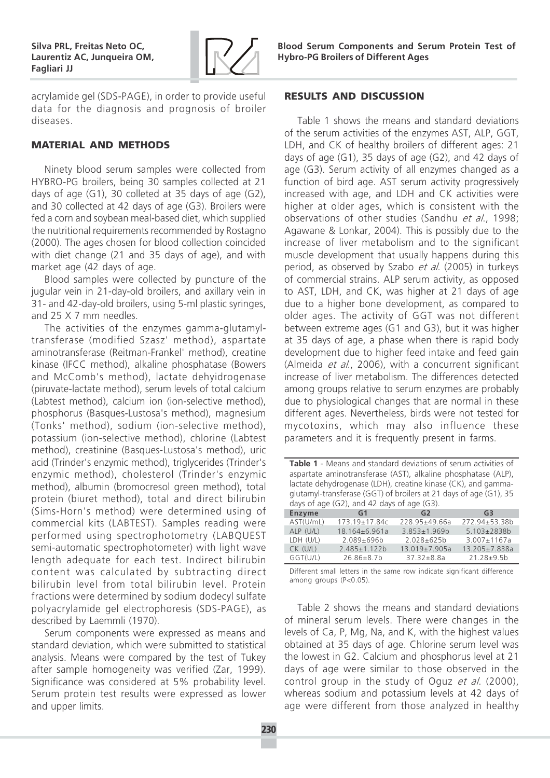

acrylamide gel (SDS-PAGE), in order to provide useful data for the diagnosis and prognosis of broiler diseases.

## **MATERIAL AND METHODS**

Ninety blood serum samples were collected from HYBRO-PG broilers, being 30 samples collected at 21 days of age (G1), 30 colleted at 35 days of age (G2), and 30 collected at 42 days of age (G3). Broilers were fed a corn and soybean meal-based diet, which supplied the nutritional requirements recommended by Rostagno (2000). The ages chosen for blood collection coincided with diet change (21 and 35 days of age), and with market age (42 days of age.

Blood samples were collected by puncture of the jugular vein in 21-day-old broilers, and axillary vein in 31- and 42-day-old broilers, using 5-ml plastic syringes, and 25 X 7 mm needles.

The activities of the enzymes gamma-glutamyltransferase (modified Szasz' method), aspartate aminotransferase (Reitman-Frankel' method), creatine kinase (IFCC method), alkaline phosphatase (Bowers and McComb's method), lactate dehyidrogenase (piruvate-lactate method), serum levels of total calcium (Labtest method), calcium ion (ion-selective method), phosphorus (Basques-Lustosa's method), magnesium (Tonks' method), sodium (ion-selective method), potassium (ion-selective method), chlorine (Labtest method), creatinine (Basques-Lustosa's method), uric acid (Trinder's enzymic method), triglycerides (Trinder's enzymic method), cholesterol (Trinder's enzymic method), albumin (bromocresol green method), total protein (biuret method), total and direct bilirubin (Sims-Horn's method) were determined using of commercial kits (LABTEST). Samples reading were performed using spectrophotometry (LABQUEST semi-automatic spectrophotometer) with light wave length adequate for each test. Indirect bilirubin content was calculated by subtracting direct bilirubin level from total bilirubin level. Protein fractions were determined by sodium dodecyl sulfate polyacrylamide gel electrophoresis (SDS-PAGE), as described by Laemmli (1970).

Serum components were expressed as means and standard deviation, which were submitted to statistical analysis. Means were compared by the test of Tukey after sample homogeneity was verified (Zar, 1999). Significance was considered at 5% probability level. Serum protein test results were expressed as lower and upper limits.

# **RESULTS AND DISCUSSION**

Table 1 shows the means and standard deviations of the serum activities of the enzymes AST, ALP, GGT, LDH, and CK of healthy broilers of different ages: 21 days of age (G1), 35 days of age (G2), and 42 days of age (G3). Serum activity of all enzymes changed as a function of bird age. AST serum activity progressively increased with age, and LDH and CK activities were higher at older ages, which is consistent with the observations of other studies (Sandhu et al., 1998; Agawane & Lonkar, 2004). This is possibly due to the increase of liver metabolism and to the significant muscle development that usually happens during this period, as observed by Szabo et al. (2005) in turkeys of commercial strains. ALP serum activity, as opposed to AST, LDH, and CK, was higher at 21 days of age due to a higher bone development, as compared to older ages. The activity of GGT was not different between extreme ages (G1 and G3), but it was higher at 35 days of age, a phase when there is rapid body development due to higher feed intake and feed gain (Almeida et al., 2006), with a concurrent significant increase of liver metabolism. The differences detected among groups relative to serum enzymes are probably due to physiological changes that are normal in these different ages. Nevertheless, birds were not tested for mycotoxins, which may also influence these parameters and it is frequently present in farms.

| Table 1 - Means and standard deviations of serum activities of<br>aspartate aminotransferase (AST), alkaline phosphatase (ALP),<br>lactate dehydrogenase (LDH), creatine kinase (CK), and gamma-<br>glutamyl-transferase (GGT) of broilers at 21 days of age (G1), 35 |                    |                    |                    |  |  |
|-----------------------------------------------------------------------------------------------------------------------------------------------------------------------------------------------------------------------------------------------------------------------|--------------------|--------------------|--------------------|--|--|
| days of age (G2), and 42 days of age (G3).                                                                                                                                                                                                                            |                    |                    |                    |  |  |
| <b>Enzyme</b>                                                                                                                                                                                                                                                         | G <sub>1</sub>     | G <sub>2</sub>     | G <sub>3</sub>     |  |  |
| AST(U/mL)                                                                                                                                                                                                                                                             | 173.19±17.84c      | 228.95±49.66a      | 272.94±53.38b      |  |  |
| ALP (U/L)                                                                                                                                                                                                                                                             | $18.164\pm 6.961a$ | $3.853 \pm 1.969b$ | 5.103±2838b        |  |  |
| LDH (U/L)                                                                                                                                                                                                                                                             | 2.089±696b         | 2.028±625b         | $3.007 \pm 1167$ a |  |  |
| $CK$ (U/L)                                                                                                                                                                                                                                                            | $2.485 \pm 1.122$  | 13.019±7.905a      | 13.205±7.838a      |  |  |

GGT(U/L) 26.86±8.7b 37.32±8.8a 21.28±9.5b Different small letters in the same row indicate significant difference among groups (P<0.05).

Table 2 shows the means and standard deviations of mineral serum levels. There were changes in the levels of Ca, P, Mg, Na, and K, with the highest values obtained at 35 days of age. Chlorine serum level was the lowest in G2. Calcium and phosphorus level at 21 days of age were similar to those observed in the control group in the study of Oguz et al. (2000), whereas sodium and potassium levels at 42 days of age were different from those analyzed in healthy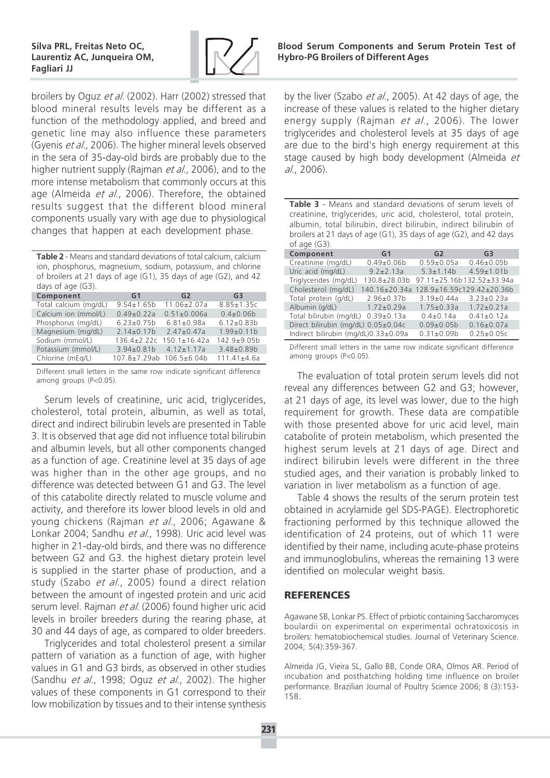

broilers by Oguz et al. (2002). Harr (2002) stressed that blood mineral results levels may be different as a function of the methodology applied, and breed and genetic line may also influence these parameters (Gyenis et al., 2006). The higher mineral levels observed in the sera of 35-day-old birds are probably due to the higher nutrient supply (Rajman *et al.*, 2006), and to the more intense metabolism that commonly occurs at this age (Almeida et al., 2006). Therefore, the obtained results suggest that the different blood mineral components usually vary with age due to physiological changes that happen at each development phase.

Table 2 - Means and standard deviations of total calcium, calcium ion, phosphorus, magnesium, sodium, potassium, and chlorine of broilers at 21 days of age (G1), 35 days of age (G2), and 42 days of age (G3).

| Component             | <b>G1</b>                | G2                 | G <sub>3</sub>    |  |
|-----------------------|--------------------------|--------------------|-------------------|--|
| Total calcium (mg/dL) | $9.54 \pm 1.65$ b        | $11.06 \pm 2.07$ a | $8.85 \pm 1.35c$  |  |
| Calcium ion (mmol/L)  | $0.49 \pm 0.22a$         | $0.51 \pm 0.006a$  | $0.4 \pm 0.06 b$  |  |
| Phosphorus (mg/dL)    | $6.23 \pm 0.75b$         | $6.81 \pm 0.98a$   | $6.12 \pm 0.83 b$ |  |
| Magnesium (mg/dL)     | $2.14 \pm 0.17$          | $2.47 \pm 0.47$ a  | $1.99 \pm 0.11 b$ |  |
| Sodium (mmol/L)       | $136.4 \pm 2.22c$        | $150.1 \pm 16.42a$ | 142.9±9.05b       |  |
| Potassium (mmol/L)    | $3.94 \pm 0.81$          | $4.12 \pm 1.17$ a  | $3.48 \pm 0.89$   |  |
| Chlorine (mEg/L)      | 107.8±7.29ab 106.5±6.04b |                    | $111.41 \pm 4.6a$ |  |

Different small letters in the same row indicate significant difference among groups (P<0.05).

Serum levels of creatinine, uric acid, triglycerides, cholesterol, total protein, albumin, as well as total, direct and indirect bilirubin levels are presented in Table 3. It is observed that age did not influence total bilirubin and albumin levels, but all other components changed as a function of age. Creatinine level at 35 days of age was higher than in the other age groups, and no difference was detected between G1 and G3. The level of this catabolite directly related to muscle volume and activity, and therefore its lower blood levels in old and young chickens (Rajman et al., 2006; Agawane & Lonkar 2004; Sandhu et al., 1998). Uric acid level was higher in 21-day-old birds, and there was no difference between G2 and G3. the highest dietary protein level is supplied in the starter phase of production, and a study (Szabo et al., 2005) found a direct relation between the amount of ingested protein and uric acid serum level. Rajman et al. (2006) found higher uric acid levels in broiler breeders during the rearing phase, at 30 and 44 days of age, as compared to older breeders.

Triglycerides and total cholesterol present a similar pattern of variation as a function of age, with higher values in G1 and G3 birds, as observed in other studies (Sandhu *et al.*, 1998; Oguz *et al.*, 2002). The higher values of these components in G1 correspond to their low mobilization by tissues and to their intense synthesis

by the liver (Szabo et al., 2005). At 42 days of age, the increase of these values is related to the higher dietary energy supply (Rajman *et al.*, 2006). The lower triglycerides and cholesterol levels at 35 days of age are due to the bird's high energy requirement at this stage caused by high body development (Almeida et al., 2006).

| Table 3 - Means and standard deviations of serum levels of<br>creatinine, triglycerides, uric acid, cholesterol, total protein,<br>albumin, total bilirubin, direct bilirubin, indirect bilirubin of<br>broilers at 21 days of age (G1), 35 days of age (G2), and 42 days<br>of age $(G3)$ . |                      |                  |                 |  |  |  |
|----------------------------------------------------------------------------------------------------------------------------------------------------------------------------------------------------------------------------------------------------------------------------------------------|----------------------|------------------|-----------------|--|--|--|
| Component                                                                                                                                                                                                                                                                                    | G1                   | G2               | G <sub>3</sub>  |  |  |  |
| Creatinine (mg/dL)                                                                                                                                                                                                                                                                           | $0.49 \pm 0.06 b$    | $0.59 \pm 0.05a$ | $0.46 \pm 0.05$ |  |  |  |
| Iiric said (mold)                                                                                                                                                                                                                                                                            | $Q$ $2 + 2$ $12 - 2$ | $5.2 + 1.1$      | $150+101h$      |  |  |  |

| Creatinine (my/uL)                   | U.49±U.UOD        | U.JY±U.UJd                | U.40±U.U <sub>2</sub> D          |
|--------------------------------------|-------------------|---------------------------|----------------------------------|
| Uric acid (mg/dL)                    | $9.2 \pm 2.13a$   |                           | $5.3 \pm 1.14b$ $4.59 \pm 1.01b$ |
| Triglycerides (mg/dL)                | 130.8±28.03b      |                           | 97.11±25.16b132.52±33.94a        |
| Cholesterol (mg/dL)                  | 140.16±20.34a     | 128.9±16.59c129.42±20.36b |                                  |
| Total protein (g/dL)                 | $2.96 \pm 0.37$ b | $3.19{\pm}0.44a$          | $3.23 \pm 0.23a$                 |
| Albumin (g/dL)                       | $1.72 \pm 0.29$ a | $1.75 \pm 0.33a$          | $1.72 \pm 0.21a$                 |
| Total bilirubin (mg/dL) 0.39±0.13a   |                   | $0.4 \pm 0.14a$           | $0.41 \pm 0.12a$                 |
| Direct bilirubin (mg/dL) 0.05±0.04c  |                   | $0.09 \pm 0.05 b$         | $0.16 \pm 0.07$ a                |
| Indirect bilirubin (mg/dL)0.33±0.09a |                   | $0.31 \pm 0.09$           | $0.25 \pm 0.05c$                 |

Different small letters in the same row indicate significant difference among groups (P<0.05).

The evaluation of total protein serum levels did not reveal any differences between G2 and G3; however, at 21 days of age, its level was lower, due to the high requirement for growth. These data are compatible with those presented above for uric acid level, main catabolite of protein metabolism, which presented the highest serum levels at 21 days of age. Direct and indirect bilirubin levels were different in the three studied ages, and their variation is probably linked to variation in liver metabolism as a function of age.

Table 4 shows the results of the serum protein test obtained in acrylamide gel SDS-PAGE). Electrophoretic fractioning performed by this technique allowed the identification of 24 proteins, out of which 11 were identified by their name, including acute-phase proteins and immunoglobulins, whereas the remaining 13 were identified on molecular weight basis.

# **REFERENCES**

Agawane SB, Lonkar PS. Effect of prbiotic containing Saccharomyces boulardii on experimental on experimental ochratoxicosis in broilers: hematobiochemical studies. Journal of Veterinary Science. 2004; 5(4):359-367.

Almeida JG, Vieira SL, Gallo BB, Conde ORA, Olmos AR. Period of incubation and posthatching holding time influence on broiler performance. Brazilian Journal of Poultry Science 2006; 8 (3):153- 158.